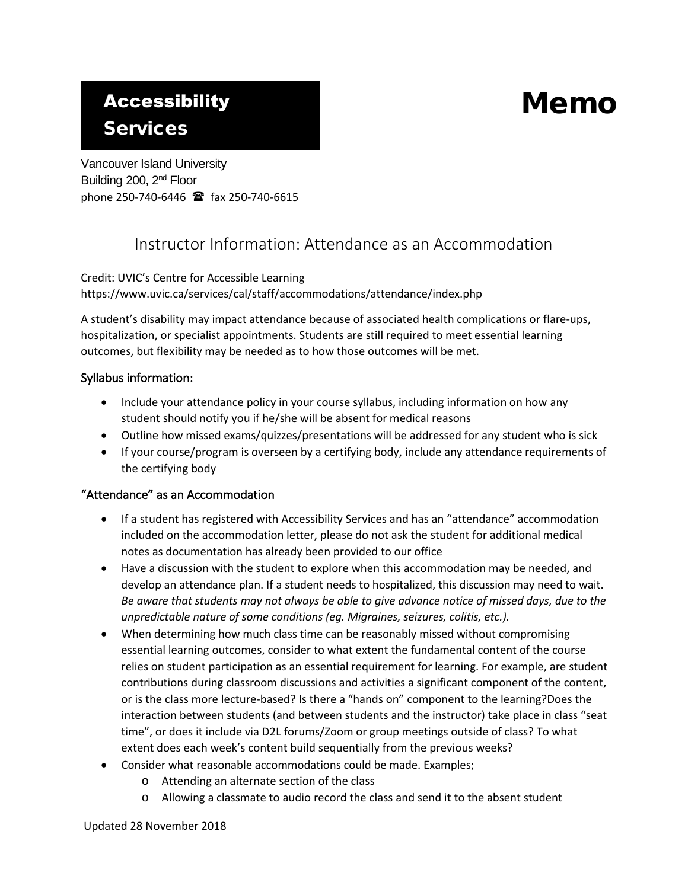# **Accessibility**

## Services

Vancouver Island University Building 200, 2<sup>nd</sup> Floor phone 250-740-6446 fax 250-740-6615

### Instructor Information: Attendance as an Accommodation

Memo

Credit: UVIC's Centre for Accessible Learning https://www.uvic.ca/services/cal/staff/accommodations/attendance/index.php

A student's disability may impact attendance because of associated health complications or flare-ups, hospitalization, or specialist appointments. Students are still required to meet essential learning outcomes, but flexibility may be needed as to how those outcomes will be met.

#### Syllabus information:

- Include your attendance policy in your course syllabus, including information on how any student should notify you if he/she will be absent for medical reasons
- Outline how missed exams/quizzes/presentations will be addressed for any student who is sick
- If your course/program is overseen by a certifying body, include any attendance requirements of the certifying body

#### "Attendance" as an Accommodation

- If a student has registered with Accessibility Services and has an "attendance" accommodation included on the accommodation letter, please do not ask the student for additional medical notes as documentation has already been provided to our office
- Have a discussion with the student to explore when this accommodation may be needed, and develop an attendance plan. If a student needs to hospitalized, this discussion may need to wait. *Be aware that students may not always be able to give advance notice of missed days, due to the unpredictable nature of some conditions (eg. Migraines, seizures, colitis, etc.).*
- When determining how much class time can be reasonably missed without compromising essential learning outcomes, consider to what extent the fundamental content of the course relies on student participation as an essential requirement for learning. For example, are student contributions during classroom discussions and activities a significant component of the content, or is the class more lecture-based? Is there a "hands on" component to the learning?Does the interaction between students (and between students and the instructor) take place in class "seat time", or does it include via D2L forums/Zoom or group meetings outside of class? To what extent does each week's content build sequentially from the previous weeks?
- Consider what reasonable accommodations could be made. Examples;
	- o Attending an alternate section of the class
	- o Allowing a classmate to audio record the class and send it to the absent student